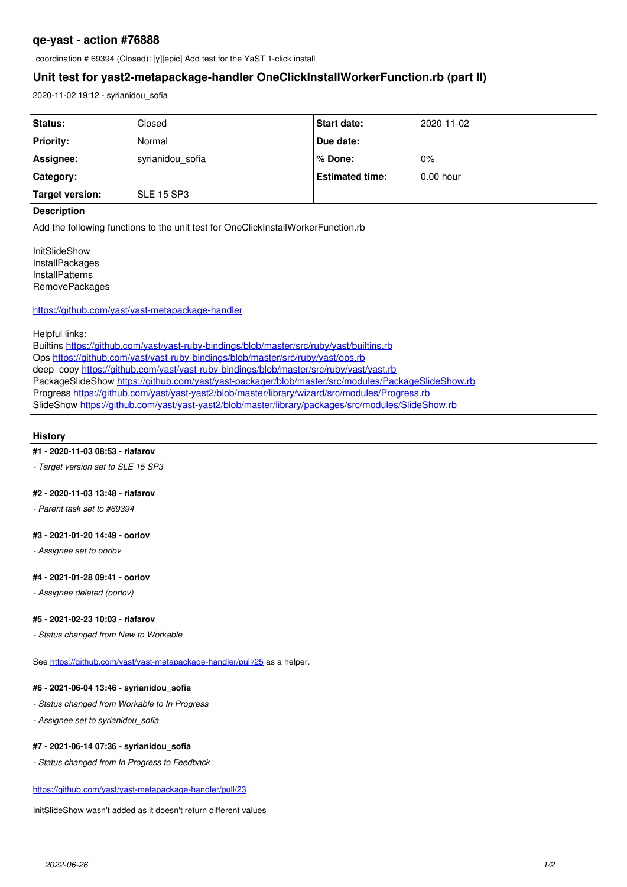# **qe-yast - action #76888**

coordination # 69394 (Closed): [y][epic] Add test for the YaST 1-click install

# **Unit test for yast2-metapackage-handler OneClickInstallWorkerFunction.rb (part II)**

2020-11-02 19:12 - syrianidou\_sofia

| Status:                                                                                                                                                                                                                                                                                                                                                                                                                                                                                                                                                                                                | Closed            | Start date:            | 2020-11-02  |
|--------------------------------------------------------------------------------------------------------------------------------------------------------------------------------------------------------------------------------------------------------------------------------------------------------------------------------------------------------------------------------------------------------------------------------------------------------------------------------------------------------------------------------------------------------------------------------------------------------|-------------------|------------------------|-------------|
| <b>Priority:</b>                                                                                                                                                                                                                                                                                                                                                                                                                                                                                                                                                                                       | Normal            | Due date:              |             |
| Assignee:                                                                                                                                                                                                                                                                                                                                                                                                                                                                                                                                                                                              | syrianidou sofia  | % Done:                | 0%          |
| Category:                                                                                                                                                                                                                                                                                                                                                                                                                                                                                                                                                                                              |                   | <b>Estimated time:</b> | $0.00$ hour |
| Target version:                                                                                                                                                                                                                                                                                                                                                                                                                                                                                                                                                                                        | <b>SLE 15 SP3</b> |                        |             |
| <b>Description</b>                                                                                                                                                                                                                                                                                                                                                                                                                                                                                                                                                                                     |                   |                        |             |
| Add the following functions to the unit test for OneClickInstallWorkerFunction.rb                                                                                                                                                                                                                                                                                                                                                                                                                                                                                                                      |                   |                        |             |
| InitSlideShow<br>InstallPackages<br><b>InstallPatterns</b><br><b>RemovePackages</b><br>https://github.com/vast/vast-metapackage-handler                                                                                                                                                                                                                                                                                                                                                                                                                                                                |                   |                        |             |
| Helpful links:<br>Builtins https://github.com/vast/vast-ruby-bindings/blob/master/src/ruby/vast/builtins.rb<br>Ops https://github.com/yast/yast-ruby-bindings/blob/master/src/ruby/yast/ops.rb<br>deep copy https://github.com/vast/vast-ruby-bindings/blob/master/src/ruby/vast/vast.rb<br>PackageSlideShow https://github.com/vast/vast-packager/blob/master/src/modules/PackageSlideShow.rb<br>Progress https://github.com/vast/vast-vast2/blob/master/library/wizard/src/modules/Progress.rb<br>SlideShow https://github.com/yast/vast-vast2/blob/master/library/packages/src/modules/SlideShow.rb |                   |                        |             |

## **History**

# **#1 - 2020-11-03 08:53 - riafarov**

*- Target version set to SLE 15 SP3*

### **#2 - 2020-11-03 13:48 - riafarov**

*- Parent task set to #69394*

#### **#3 - 2021-01-20 14:49 - oorlov**

*- Assignee set to oorlov*

#### **#4 - 2021-01-28 09:41 - oorlov**

*- Assignee deleted (oorlov)*

### **#5 - 2021-02-23 10:03 - riafarov**

*- Status changed from New to Workable*

See <https://github.com/yast/yast-metapackage-handler/pull/25> as a helper.

#### **#6 - 2021-06-04 13:46 - syrianidou\_sofia**

- *Status changed from Workable to In Progress*
- *Assignee set to syrianidou\_sofia*

### **#7 - 2021-06-14 07:36 - syrianidou\_sofia**

*- Status changed from In Progress to Feedback*

<https://github.com/yast/yast-metapackage-handler/pull/23>

InitSlideShow wasn't added as it doesn't return different values